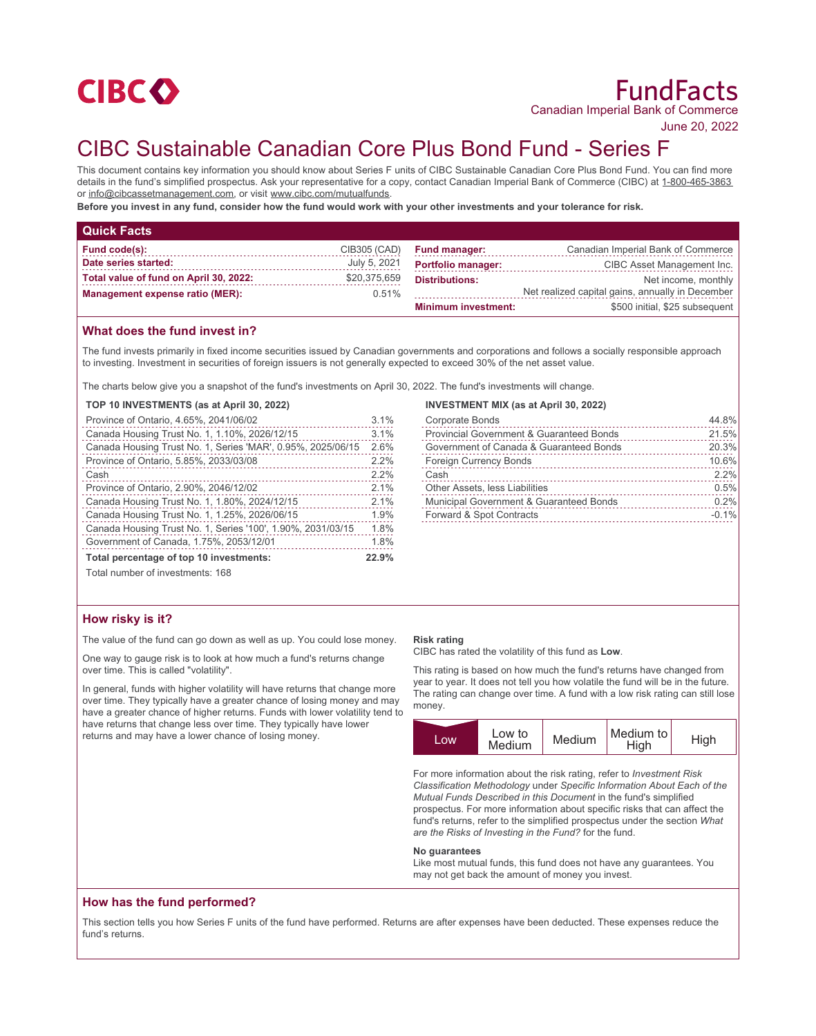

June 20, 2022

# CIBC Sustainable Canadian Core Plus Bond Fund - Series F

This document contains key information you should know about Series F units of CIBC Sustainable Canadian Core Plus Bond Fund. You can find more details in the fund's simplified prospectus. Ask your representative for a copy, contact Canadian Imperial Bank of Commerce (CIBC) at 1-800-465-3863 or info@cibcassetmanagement.com, or visit www.cibc.com/mutualfunds.

**Before you invest in any fund, consider how the fund would work with your other investments and your tolerance for risk.**

| <b>Quick Facts</b>                     |              |                            |                                                  |
|----------------------------------------|--------------|----------------------------|--------------------------------------------------|
| Fund code(s):                          | CIB305 (CAD) | <b>Fund manager:</b>       | Canadian Imperial Bank of Commerce               |
| Date series started:                   | July 5, 2021 | <b>Portfolio manager:</b>  | CIBC Asset Management Inc.                       |
| Total value of fund on April 30, 2022: | \$20,375,659 | <b>Distributions:</b>      | Net income, monthly                              |
| <b>Management expense ratio (MER):</b> | $0.51\%$     |                            | Net realized capital gains, annually in December |
|                                        |              | <b>Minimum investment:</b> | \$500 initial. \$25 subsequent                   |

# **What does the fund invest in?**

The fund invests primarily in fixed income securities issued by Canadian governments and corporations and follows a socially responsible approach to investing. Investment in securities of foreign issuers is not generally expected to exceed 30% of the net asset value.

The charts below give you a snapshot of the fund's investments on April 30, 2022. The fund's investments will change.

## **TOP 10 INVESTMENTS (as at April 30, 2022)**

| Province of Ontario, 4.65%, 2041/06/02                      |      |
|-------------------------------------------------------------|------|
| Canada Housing Trust No. 1, 1.10%, 2026/12/15               | 3.1% |
| Canada Housing Trust No. 1, Series 'MAR', 0.95%, 2025/06/15 | 2.6% |
| Province of Ontario, 5.85%, 2033/03/08                      | 2.2% |
| Cash                                                        | 2.2% |
| Province of Ontario, 2.90%, 2046/12/02                      | 2.1% |
| Canada Housing Trust No. 1, 1.80%, 2024/12/15               | 2.1% |
| Canada Housing Trust No. 1, 1.25%, 2026/06/15               | 1.9% |
| Canada Housing Trust No. 1, Series '100', 1.90%, 2031/03/15 | 1.8% |
| Government of Canada, 1.75%, 2053/12/01                     | 1.8% |
| Total percentage of top 10 investments:                     |      |
| Total number of investments: 168                            |      |

#### **INVESTMENT MIX (as at April 30, 2022)**

| <b>Corporate Bonds</b>                              | 44.8%   |
|-----------------------------------------------------|---------|
| <b>Provincial Government &amp; Guaranteed Bonds</b> | 21.5%   |
| Government of Canada & Guaranteed Bonds             | 20.3%   |
| <b>Foreign Currency Bonds</b>                       | 10.6%   |
| Cash                                                | 2.2%    |
| Other Assets, less Liabilities                      | 0.5%    |
| Municipal Government & Guaranteed Bonds             | 0.2%    |
| Forward & Spot Contracts                            | $-0.1%$ |
|                                                     |         |

## **How risky is it?**

The value of the fund can go down as well as up. You could lose money.

One way to gauge risk is to look at how much a fund's returns change over time. This is called "volatility".

In general, funds with higher volatility will have returns that change more over time. They typically have a greater chance of losing money and may have a greater chance of higher returns. Funds with lower volatility tend to have returns that change less over time. They typically have lower returns and may have a lower chance of losing money.

#### **Risk rating**

CIBC has rated the volatility of this fund as **Low**.

This rating is based on how much the fund's returns have changed from year to year. It does not tell you how volatile the fund will be in the future. The rating can change over time. A fund with a low risk rating can still lose money.



For more information about the risk rating, refer to *Investment Risk Classification Methodology* under *Specific Information About Each of the Mutual Funds Described in this Document* in the fund's simplified prospectus. For more information about specific risks that can affect the fund's returns, refer to the simplified prospectus under the section *What are the Risks of Investing in the Fund?* for the fund.

#### **No guarantees**

Like most mutual funds, this fund does not have any guarantees. You may not get back the amount of money you invest.

# **How has the fund performed?**

This section tells you how Series F units of the fund have performed. Returns are after expenses have been deducted. These expenses reduce the fund's returns.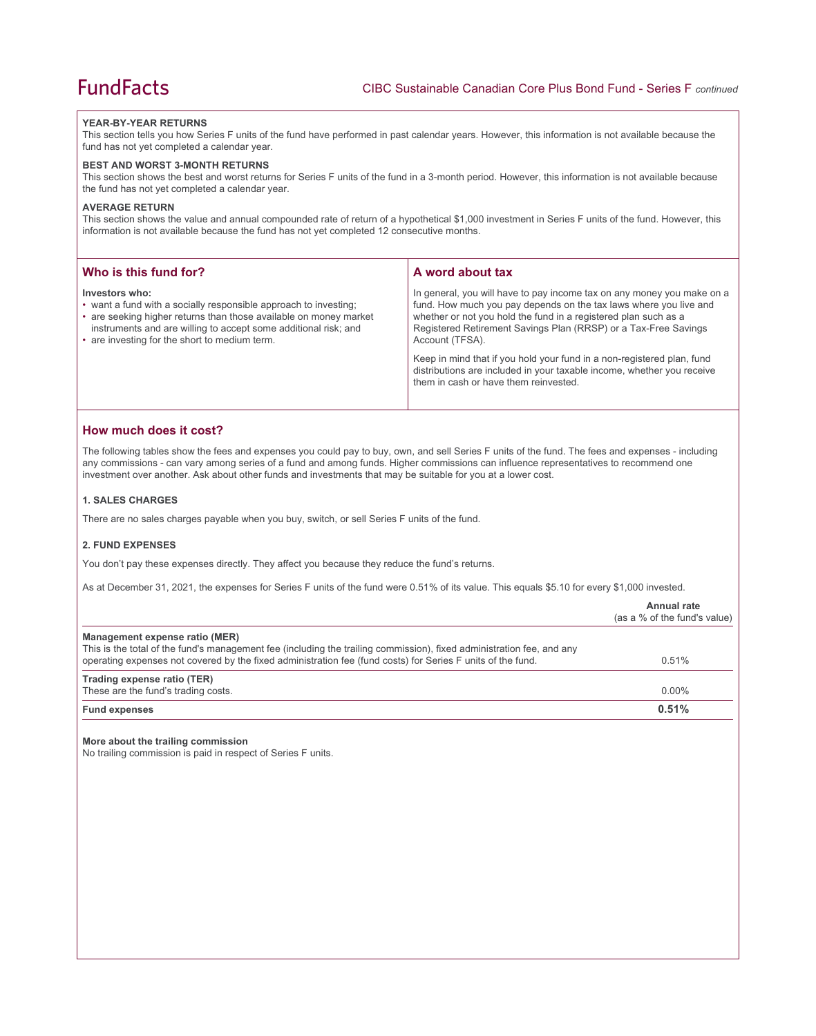## **YEAR-BY-YEAR RETURNS**

This section tells you how Series F units of the fund have performed in past calendar years. However, this information is not available because the fund has not yet completed a calendar year.

#### **BEST AND WORST 3-MONTH RETURNS**

This section shows the best and worst returns for Series F units of the fund in a 3-month period. However, this information is not available because the fund has not yet completed a calendar year.

## **AVERAGE RETURN**

This section shows the value and annual compounded rate of return of a hypothetical \$1,000 investment in Series F units of the fund. However, this information is not available because the fund has not yet completed 12 consecutive months.

| Who is this fund for?                                                                                                                                                                                                                                                       | A word about tax                                                                                                                                                                                                                                                                                     |  |
|-----------------------------------------------------------------------------------------------------------------------------------------------------------------------------------------------------------------------------------------------------------------------------|------------------------------------------------------------------------------------------------------------------------------------------------------------------------------------------------------------------------------------------------------------------------------------------------------|--|
| Investors who:<br>• want a fund with a socially responsible approach to investing;<br>• are seeking higher returns than those available on money market<br>instruments and are willing to accept some additional risk; and<br>• are investing for the short to medium term. | In general, you will have to pay income tax on any money you make on a<br>fund. How much you pay depends on the tax laws where you live and<br>whether or not you hold the fund in a registered plan such as a<br>Registered Retirement Savings Plan (RRSP) or a Tax-Free Savings<br>Account (TFSA). |  |
|                                                                                                                                                                                                                                                                             | Keep in mind that if you hold your fund in a non-registered plan, fund<br>distributions are included in your taxable income, whether you receive<br>them in cash or have them reinvested.                                                                                                            |  |

## **How much does it cost?**

The following tables show the fees and expenses you could pay to buy, own, and sell Series F units of the fund. The fees and expenses - including any commissions - can vary among series of a fund and among funds. Higher commissions can influence representatives to recommend one investment over another. Ask about other funds and investments that may be suitable for you at a lower cost.

#### **1. SALES CHARGES**

There are no sales charges payable when you buy, switch, or sell Series F units of the fund.

# **2. FUND EXPENSES**

You don't pay these expenses directly. They affect you because they reduce the fund's returns.

As at December 31, 2021, the expenses for Series F units of the fund were 0.51% of its value. This equals \$5.10 for every \$1,000 invested.

|                                                                                                                                                                                                                                                                        | Annual rate<br>(as a % of the fund's value) |
|------------------------------------------------------------------------------------------------------------------------------------------------------------------------------------------------------------------------------------------------------------------------|---------------------------------------------|
| Management expense ratio (MER)<br>This is the total of the fund's management fee (including the trailing commission), fixed administration fee, and any<br>operating expenses not covered by the fixed administration fee (fund costs) for Series F units of the fund. | 0.51%                                       |
| Trading expense ratio (TER)<br>These are the fund's trading costs.                                                                                                                                                                                                     | $0.00\%$                                    |
| <b>Fund expenses</b>                                                                                                                                                                                                                                                   | 0.51%                                       |

#### **More about the trailing commission**

No trailing commission is paid in respect of Series F units.